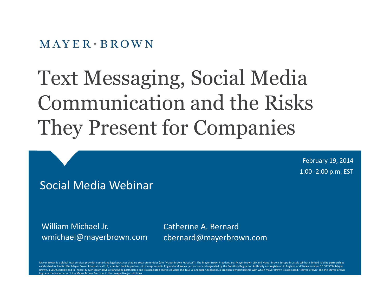$MAYER \cdot BROWN$ 

# Text Messaging, Social Media Communication and the Risks They Present for Companies

February 19, 2014 1:00 -2:00 p.m. EST

#### Social Media Webinar

William Michael Jr. wmichael@mayerbrown.com Catherine A. Bernard cbernard@mayerbrown.com

Mayer Brown is a global legal services provider comprising legal practices that are separate entities (the "Mayer Brown Practices"). The Mayer Brown Practices are: Mayer Brown LLP and Mayer Brown Europe-Brussels LLP both l established in Illinois USA; Mayer Brown International LLP, a limited liability partnership incorporated in England and Wales (authorized and regulated by the Solicitors Regulation Authority and registered in England and W Brown, a SELAS established in France: Mayer Brown ISM, a Hong Kong partnership and its associated entities in Asia: and Tauil & Chequer Advogados, a Brazilian law partnership with which Mayer Brown is associated. "Mayer Br logo are the trademarks of the Mayer Brown Practices in their respective jurisdictions.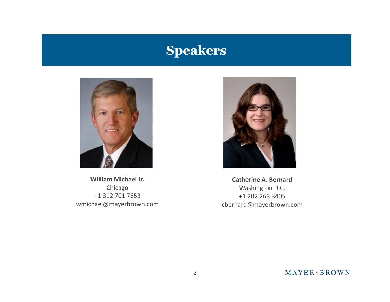# **Speakers**



**William Michael Jr.** Chicago +1 312 701 7653 wmichael@mayerbrown.com



**Catherine A. Bernard** Washington D.C. +1 202 263 3405 cbernard@mayerbrown.com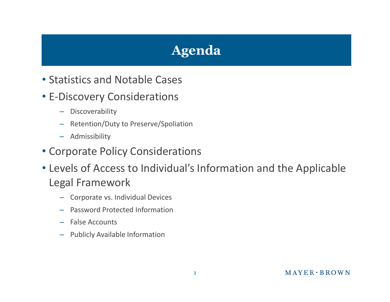# **Agenda**

- Statistics and Notable Cases
- E-Discovery Considerations
	- Discoverability
	- Retention/Duty to Preserve/Spoliation
	- Admissibility
- Corporate Policy Considerations
- Levels of Access to Individual's Information and the Applicable Legal Framework
	- Corporate vs. Individual Devices
	- Password Protected Information
	- False Accounts
	- Publicly Available Information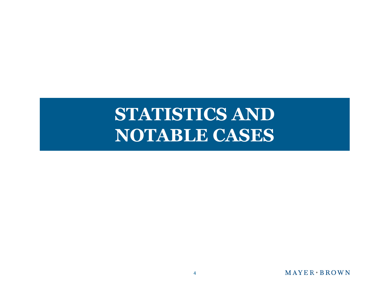# **STATISTICS AND NOTABLE CASES**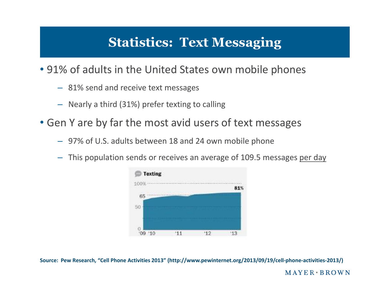# **Statistics: Text Messaging**

• 91% of adults in the United States own mobile phones

- 81% send and receive text messages
- Nearly a third (31%) prefer texting to calling
- Gen Y are by far the most avid users of text messages
	- 97% of U.S. adults between 18 and 24 own mobile phone
	- This population sends or receives an average of 109.5 messages per day



**Source: Pew Research, "Cell Phone Activities 2013" (http://www.pewinternet.org/2013/09/19/cell-phone-activities-2013/)**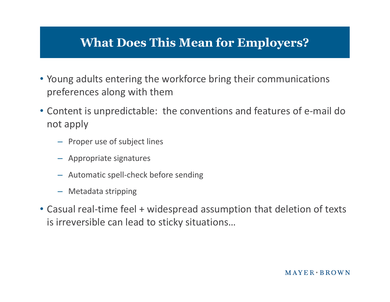#### **What Does This Mean for Employers?**

- Young adults entering the workforce bring their communications preferences along with them
- Content is unpredictable: the conventions and features of e-mail do not apply
	- Proper use of subject lines
	- Appropriate signatures
	- Automatic spell-check before sending
	- Metadata stripping
- Casual real-time feel + widespread assumption that deletion of texts is irreversible can lead to sticky situations…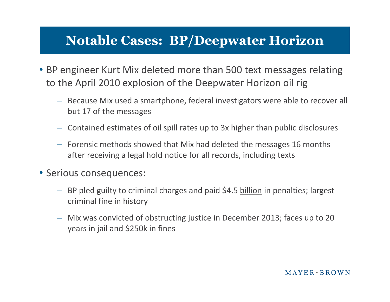### **Notable Cases: BP/Deepwater Horizon**

- BP engineer Kurt Mix deleted more than 500 text messages relating to the April 2010 explosion of the Deepwater Horizon oil rig
	- Because Mix used a smartphone, federal investigators were able to recover all but 17 of the messages
	- Contained estimates of oil spill rates up to 3x higher than public disclosures
	- Forensic methods showed that Mix had deleted the messages 16 months after receiving a legal hold notice for all records, including texts
- Serious consequences:
	- BP pled guilty to criminal charges and paid \$4.5 billion in penalties; largest criminal fine in history
	- Mix was convicted of obstructing justice in December 2013; faces up to 20 years in jail and \$250k in fines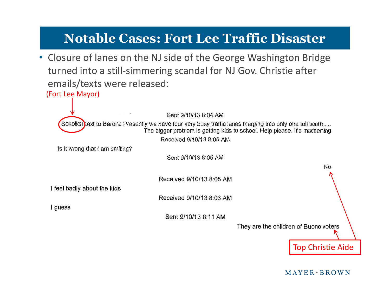### **Notable Cases: Fort Lee Traffic Disaster**

(Fort Lee Mayor) • Closure of lanes on the NJ side of the George Washington Bridge turned into a still-simmering scandal for NJ Gov. Christie after emails/texts were released:

Sent 9/10/13 8:04 AM Sokolich text to Baroni: Presently we have four very busy traffic lanes merging into only one toll booth..... The bigger problem is getting kids to school. Help please, it's maddening Received 9/10/13 8:05 AM Is it wrong that I am smiling? Sent 9/10/13 8:05 AM No Received 9/10/13 8:05 AM I feel badly about the kids Received 9/10/13 8:06 AM I quess Sent 9/10/13 8:11 AM They are the children of Buono voters

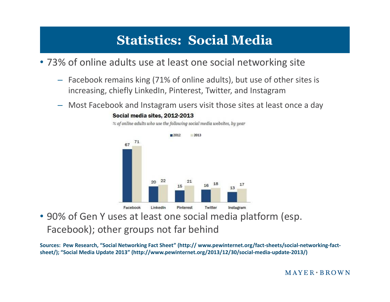# **Statistics: Social Media**

• 73% of online adults use at least one social networking site

- Facebook remains king (71% of online adults), but use of other sites is increasing, chiefly LinkedIn, Pinterest, Twitter, and Instagram
- Most Facebook and Instagram users visit those sites at least once a day



• 90% of Gen Y uses at least one social media platform (esp. Facebook); other groups not far behind

**Sources: Pew Research, "Social Networking Fact Sheet" (http:// www.pewinternet.org/fact-sheets/social-networking-factsheet/); "Social Media Update 2013" (http://www.pewinternet.org/2013/12/30/social-media-update-2013/)**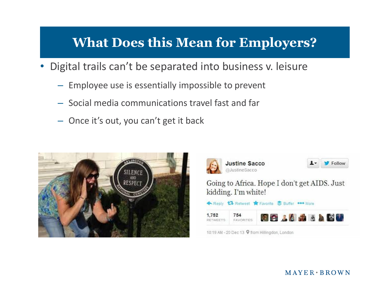### **What Does this Mean for Employers?**

- Digital trails can't be separated into business v. leisure
	- Employee use is essentially impossible to prevent
	- Social media communications travel fast and far
	- Once it's out, you can't get it back



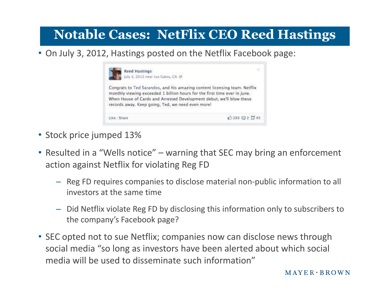# **Notable Cases: NetFlix CEO Reed Hastings**

• On July 3, 2012, Hastings posted on the Netflix Facebook page:



- Stock price jumped 13%
- Resulted in a "Wells notice" warning that SEC may bring an enforcement action against Netflix for violating Reg FD
	- Reg FD requires companies to disclose material non-public information to all investors at the same time
	- Did Netflix violate Reg FD by disclosing this information only to subscribers to the company's Facebook page?
- SEC opted not to sue Netflix; companies now can disclose news through social media "so long as investors have been alerted about which social media will be used to disseminate such information"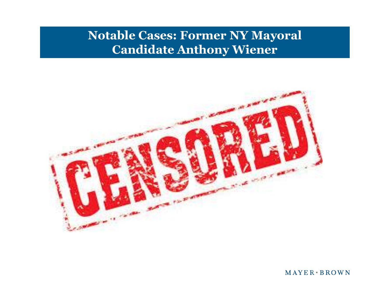#### **Notable Cases: Former NY Mayoral Candidate Anthony Wiener**

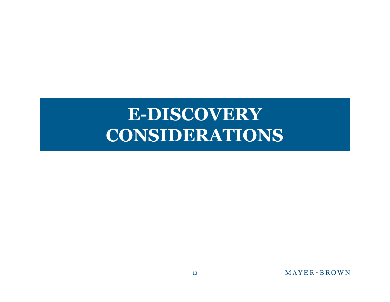# **E-DISCOVERY CONSIDERATIONS**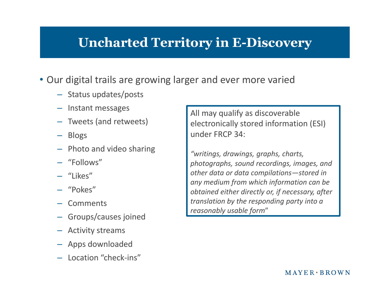### **Uncharted Territory in E-Discovery**

- Our digital trails are growing larger and ever more varied
	- Status updates/posts
	- Instant messages
	- Tweets (and retweets)
	- Blogs
	- Photo and video sharing
	-
	- "Likes"
	- "Pokes"
	- Comments
	- Groups/causes joined
	- Activity streams
	- Apps downloaded
	- Location "check-ins"

All may qualify as discoverable electronically stored information (ESI) under FRCP 34:

*"writings, drawings, graphs, charts,* – "Follows" *photographs, sound recordings, images, and other data or data compilations—stored in any medium from which information can be obtained either directly or, if necessary, after translation by the responding party into a reasonably usable form*"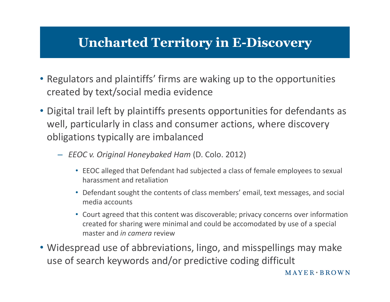### **Uncharted Territory in E-Discovery**

- Regulators and plaintiffs' firms are waking up to the opportunities created by text/social media evidence
- Digital trail left by plaintiffs presents opportunities for defendants as well, particularly in class and consumer actions, where discovery obligations typically are imbalanced
	- *EEOC v. Original Honeybaked Ham* (D. Colo. 2012)
		- EEOC alleged that Defendant had subjected a class of female employees to sexual harassment and retaliation
		- Defendant sought the contents of class members' email, text messages, and social media accounts
		- Court agreed that this content was discoverable; privacy concerns over information created for sharing were minimal and could be accomodated by use of a special master and *in camera* review
- Widespread use of abbreviations, lingo, and misspellings may make use of search keywords and/or predictive coding difficult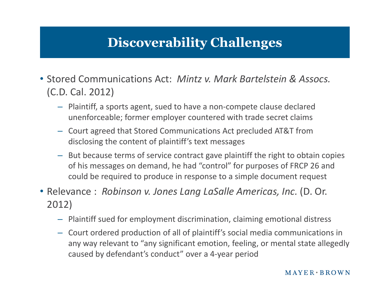# **Discoverability Challenges**

- Stored Communications Act: *Mintz v. Mark Bartelstein & Assocs.* (C.D. Cal. 2012)
	- Plaintiff, a sports agent, sued to have a non-compete clause declared unenforceable; former employer countered with trade secret claims
	- Court agreed that Stored Communications Act precluded AT&T from disclosing the content of plaintiff's text messages
	- But because terms of service contract gave plaintiff the right to obtain copies of his messages on demand, he had "control" for purposes of FRCP 26 and could be required to produce in response to a simple document request
- Relevance : *Robinson v. Jones Lang LaSalle Americas, Inc.* (D. Or. 2012)
	- Plaintiff sued for employment discrimination, claiming emotional distress
	- Court ordered production of all of plaintiff's social media communications in any way relevant to "any significant emotion, feeling, or mental state allegedly caused by defendant's conduct" over a 4-year period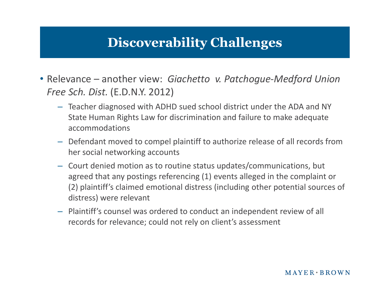### **Discoverability Challenges**

- Relevance another view: *Giachetto v. Patchogue-Medford Union Free Sch. Dist.* (E.D.N.Y. 2012)
	- Teacher diagnosed with ADHD sued school district under the ADA and NY State Human Rights Law for discrimination and failure to make adequate accommodations
	- Defendant moved to compel plaintiff to authorize release of all records from her social networking accounts
	- Court denied motion as to routine status updates/communications, but agreed that any postings referencing (1) events alleged in the complaint or (2) plaintiff's claimed emotional distress (including other potential sources of distress) were relevant
	- Plaintiff's counsel was ordered to conduct an independent review of all records for relevance; could not rely on client's assessment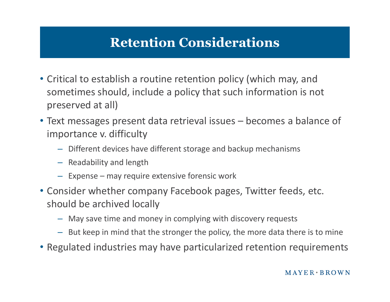# **Retention Considerations**

- Critical to establish a routine retention policy (which may, and sometimes should, include a policy that such information is not preserved at all)
- Text messages present data retrieval issues becomes a balance of importance v. difficulty
	- Different devices have different storage and backup mechanisms
	- Readability and length
	- Expense may require extensive forensic work
- Consider whether company Facebook pages, Twitter feeds, etc. should be archived locally
	- May save time and money in complying with discovery requests
	- But keep in mind that the stronger the policy, the more data there is to mine
- Regulated industries may have particularized retention requirements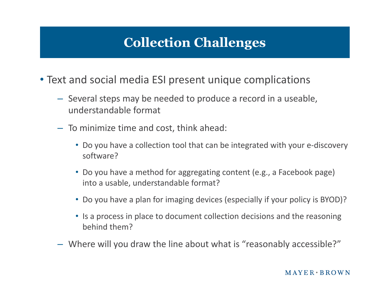# **Collection Challenges**

- Text and social media ESI present unique complications
	- Several steps may be needed to produce a record in a useable, understandable format
	- To minimize time and cost, think ahead:
		- Do you have a collection tool that can be integrated with your e-discovery software?
		- Do you have a method for aggregating content (e.g., a Facebook page) into a usable, understandable format?
		- Do you have a plan for imaging devices (especially if your policy is BYOD)?
		- Is a process in place to document collection decisions and the reasoning behind them?
	- Where will you draw the line about what is "reasonably accessible?"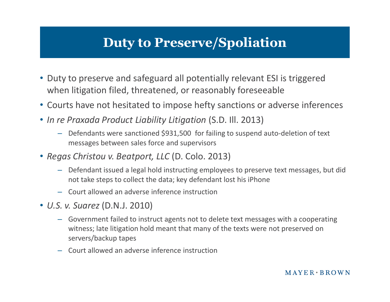### **Duty to Preserve/Spoliation**

- Duty to preserve and safeguard all potentially relevant ESI is triggered when litigation filed, threatened, or reasonably foreseeable
- Courts have not hesitated to impose hefty sanctions or adverse inferences
- *In re Praxada Product Liability Litigation* (S.D. Ill. 2013)
	- Defendants were sanctioned \$931,500 for failing to suspend auto-deletion of text messages between sales force and supervisors
- *Regas Christou v. Beatport, LLC* (D. Colo. 2013)
	- Defendant issued a legal hold instructing employees to preserve text messages, but did not take steps to collect the data; key defendant lost his iPhone
	- Court allowed an adverse inference instruction
- *U.S. v. Suarez* (D.N.J. 2010)
	- Government failed to instruct agents not to delete text messages with a cooperating witness; late litigation hold meant that many of the texts were not preserved on servers/backup tapes
	- Court allowed an adverse inference instruction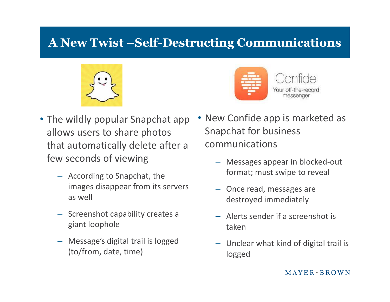### **A New Twist –Self-Destructing Communications**





- The wildly popular Snapchat app allows users to share photos that automatically delete after a few seconds of viewing
	- According to Snapchat, the images disappear from its servers as well
	- Screenshot capability creates a giant loophole
	- Message's digital trail is logged (to/from, date, time)
- New Confide app is marketed as Snapchat for business communications
	- Messages appear in blocked-out format; must swipe to reveal
	- Once read, messages are destroyed immediately
	- Alerts sender if a screenshot is taken
	- Unclear what kind of digital trail is logged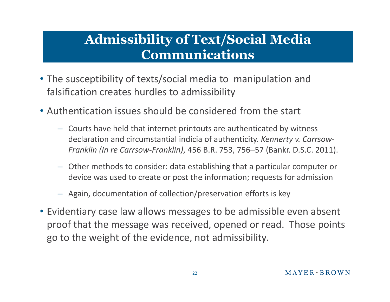### **Admissibility of Text/Social Media Communications**

- The susceptibility of texts/social media to manipulation and falsification creates hurdles to admissibility
- Authentication issues should be considered from the start
	- Courts have held that internet printouts are authenticated by witness declaration and circumstantial indicia of authenticity. *Kennerty v. Carrsow-Franklin (In re Carrsow-Franklin)*, 456 B.R. 753, 756–57 (Bankr. D.S.C. 2011).
	- Other methods to consider: data establishing that a particular computer or device was used to create or post the information; requests for admission
	- Again, documentation of collection/preservation efforts is key
- Evidentiary case law allows messages to be admissible even absent proof that the message was received, opened or read. Those points go to the weight of the evidence, not admissibility.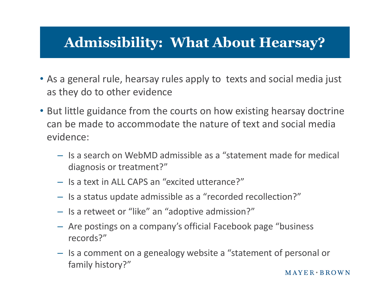# **Admissibility: What About Hearsay?**

- As a general rule, hearsay rules apply to texts and social media just as they do to other evidence
- But little guidance from the courts on how existing hearsay doctrine can be made to accommodate the nature of text and social media evidence:
	- $-$  Is a search on WebMD admissible as a "statement made for medical diagnosis or treatment?"
	- Is a text in ALL CAPS an "excited utterance?"
	- Is a status update admissible as a "recorded recollection?"
	- Is a retweet or "like" an "adoptive admission?"
	- Are postings on a company's official Facebook page "business records?"
	- Is a comment on a genealogy website a "statement of personal or family history?"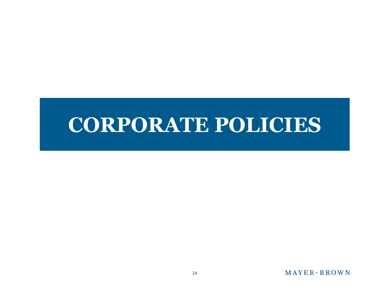# **CORPORATE POLICIES**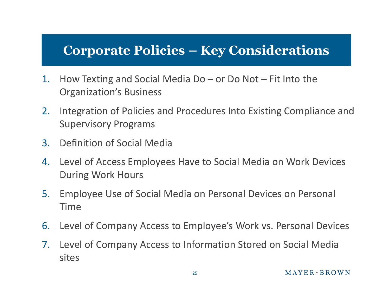### **Corporate Policies – Key Considerations**

- 1. How Texting and Social Media Do or Do Not Fit Into the Organization's Business
- 2. Integration of Policies and Procedures Into Existing Compliance and Supervisory Programs
- 3. Definition of Social Media
- 4. Level of Access Employees Have to Social Media on Work Devices During Work Hours
- 5. Employee Use of Social Media on Personal Devices on Personal Time
- 6. Level of Company Access to Employee's Work vs. Personal Devices
- 7. Level of Company Access to Information Stored on Social Media sites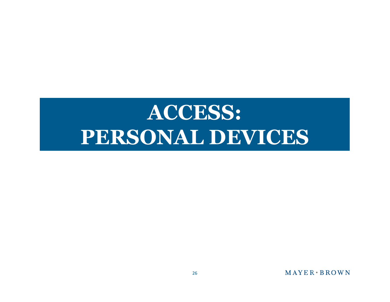# **ACCESS: PERSONAL DEVICES**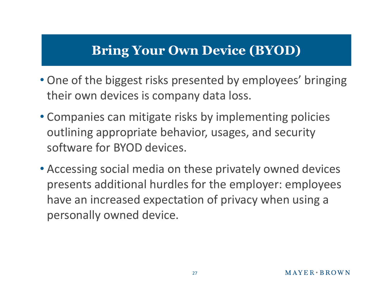### **Bring Your Own Device (BYOD)**

- One of the biggest risks presented by employees' bringing their own devices is company data loss.
- Companies can mitigate risks by implementing policies outlining appropriate behavior, usages, and security software for BYOD devices.
- Accessing social media on these privately owned devices presents additional hurdles for the employer: employees have an increased expectation of privacy when using a personally owned device.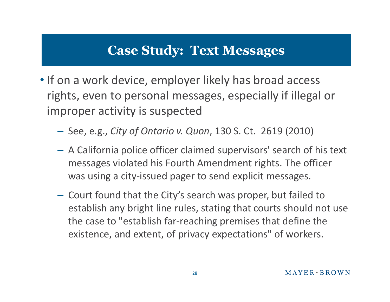### **Case Study: Text Messages**

- If on a work device, employer likely has broad access rights, even to personal messages, especially if illegal or improper activity is suspected
	- See, e.g., *City of Ontario v. Quon*, 130 S. Ct. 2619 (2010)
	- A California police officer claimed supervisors' search of his text messages violated his Fourth Amendment rights. The officer was using a city-issued pager to send explicit messages.
	- Court found that the City's search was proper, but failed to establish any bright line rules, stating that courts should not use the case to "establish far-reaching premises that define the existence, and extent, of privacy expectations" of workers.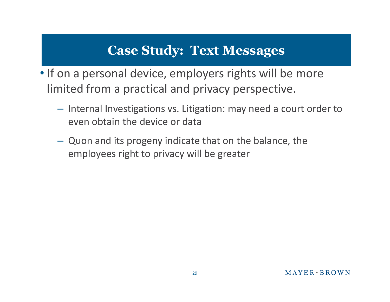### **Case Study: Text Messages**

- If on a personal device, employers rights will be more limited from a practical and privacy perspective.
	- Internal Investigations vs. Litigation: may need a court order to even obtain the device or data
	- Quon and its progeny indicate that on the balance, the employees right to privacy will be greater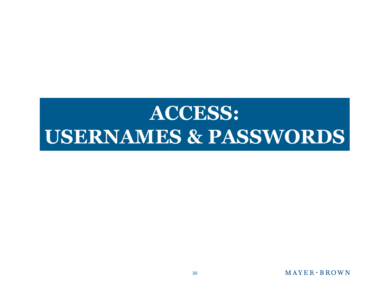# **ACCESS: USERNAMES & PASSWORDS**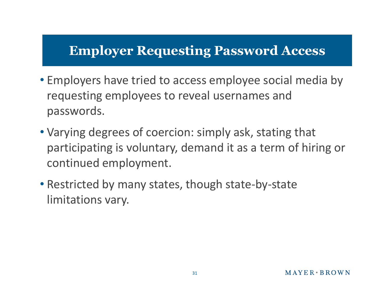- Employers have tried to access employee social media by requesting employees to reveal usernames and passwords.
- Varying degrees of coercion: simply ask, stating that participating is voluntary, demand it as a term of hiring or continued employment.
- Restricted by many states, though state-by-state limitations vary.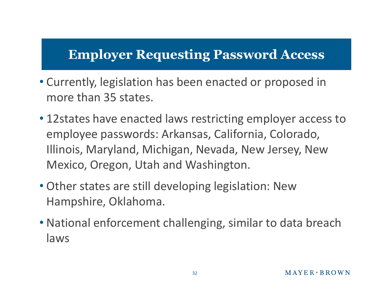- Currently, legislation has been enacted or proposed in more than 35 states.
- 12states have enacted laws restricting employer access to employee passwords: Arkansas, California, Colorado, Illinois, Maryland, Michigan, Nevada, New Jersey, New Mexico, Oregon, Utah and Washington.
- Other states are still developing legislation: New Hampshire, Oklahoma.
- National enforcement challenging, similar to data breach laws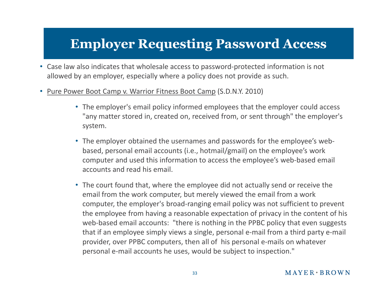- Case law also indicates that wholesale access to password-protected information is not allowed by an employer, especially where a policy does not provide as such.
- Pure Power Boot Camp v. Warrior Fitness Boot Camp (S.D.N.Y. 2010)
	- The employer's email policy informed employees that the employer could access "any matter stored in, created on, received from, or sent through" the employer's system.
	- The employer obtained the usernames and passwords for the employee's webbased, personal email accounts (i.e., hotmail/gmail) on the employee's work computer and used this information to access the employee's web-based email accounts and read his email.
	- The court found that, where the employee did not actually send or receive the email from the work computer, but merely viewed the email from a work computer, the employer's broad-ranging email policy was not sufficient to prevent the employee from having a reasonable expectation of privacy in the content of his web-based email accounts: "there is nothing in the PPBC policy that even suggests that if an employee simply views a single, personal e-mail from a third party e-mail provider, over PPBC computers, then all of his personal e-mails on whatever personal e-mail accounts he uses, would be subject to inspection."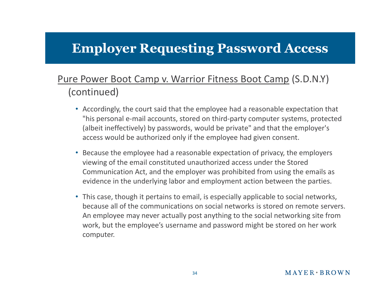#### Pure Power Boot Camp v. Warrior Fitness Boot Camp (S.D.N.Y) (continued)

- Accordingly, the court said that the employee had a reasonable expectation that "his personal e-mail accounts, stored on third-party computer systems, protected (albeit ineffectively) by passwords, would be private" and that the employer's access would be authorized only if the employee had given consent.
- Because the employee had a reasonable expectation of privacy, the employers viewing of the email constituted unauthorized access under the Stored Communication Act, and the employer was prohibited from using the emails as evidence in the underlying labor and employment action between the parties.
- This case, though it pertains to email, is especially applicable to social networks, because all of the communications on social networks is stored on remote servers. An employee may never actually post anything to the social networking site from work, but the employee's username and password might be stored on her work computer.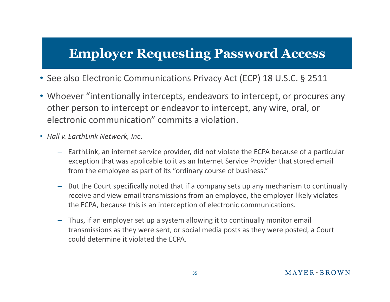- See also Electronic Communications Privacy Act (ECP) 18 U.S.C. § 2511
- Whoever "intentionally intercepts, endeavors to intercept, or procures any other person to intercept or endeavor to intercept, any wire, oral, or electronic communication" commits a violation.
- *Hall v. EarthLink Network, Inc*.
	- EarthLink, an internet service provider, did not violate the ECPA because of a particular exception that was applicable to it as an Internet Service Provider that stored email from the employee as part of its "ordinary course of business."
	- But the Court specifically noted that if a company sets up any mechanism to continually receive and view email transmissions from an employee, the employer likely violates the ECPA, because this is an interception of electronic communications.
	- Thus, if an employer set up a system allowing it to continually monitor email transmissions as they were sent, or social media posts as they were posted, a Court could determine it violated the ECPA.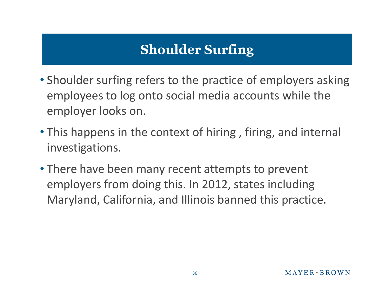# **Shoulder Surfing**

- Shoulder surfing refers to the practice of employers asking employees to log onto social media accounts while the employer looks on.
- This happens in the context of hiring , firing, and internal investigations.
- There have been many recent attempts to prevent employers from doing this. In 2012, states including Maryland, California, and Illinois banned this practice.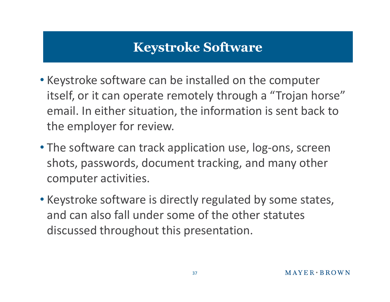# **Keystroke Software**

- Keystroke software can be installed on the computer itself, or it can operate remotely through a "Trojan horse" email. In either situation, the information is sent back to the employer for review.
- The software can track application use, log-ons, screen shots, passwords, document tracking, and many other computer activities.
- Keystroke software is directly regulated by some states, and can also fall under some of the other statutes discussed throughout this presentation.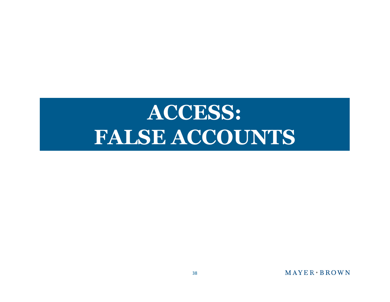# **ACCESS: FALSE ACCOUNTS**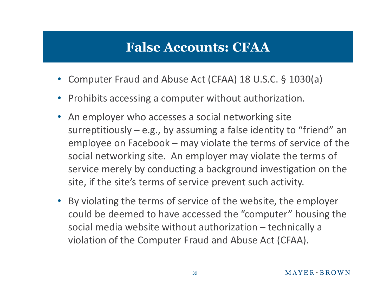- Computer Fraud and Abuse Act (CFAA) 18 U.S.C. § 1030(a)
- Prohibits accessing a computer without authorization.
- An employer who accesses a social networking site surreptitiously – e.g., by assuming a false identity to "friend" an employee on Facebook – may violate the terms of service of the social networking site. An employer may violate the terms of service merely by conducting a background investigation on the site, if the site's terms of service prevent such activity.
- By violating the terms of service of the website, the employer could be deemed to have accessed the "computer" housing the social media website without authorization – technically a violation of the Computer Fraud and Abuse Act (CFAA).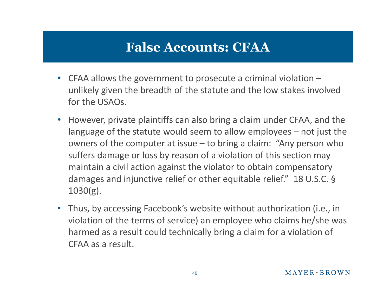- CFAA allows the government to prosecute a criminal violation unlikely given the breadth of the statute and the low stakes involved for the USAOs.
- However, private plaintiffs can also bring a claim under CFAA, and the language of the statute would seem to allow employees – not just the owners of the computer at issue – to bring a claim: "Any person who suffers damage or loss by reason of a violation of this section may maintain a civil action against the violator to obtain compensatory damages and injunctive relief or other equitable relief." 18 U.S.C. § 1030(g).
- Thus, by accessing Facebook's website without authorization (i.e., in violation of the terms of service) an employee who claims he/she was harmed as a result could technically bring a claim for a violation of CFAA as a result.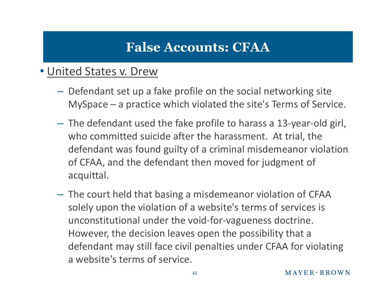#### • United States v. Drew

- Defendant set up a fake profile on the social networking site MySpace – a practice which violated the site's Terms of Service.
- The defendant used the fake profile to harass a 13-year-old girl, who committed suicide after the harassment. At trial, the defendant was found guilty of a criminal misdemeanor violation of CFAA, and the defendant then moved for judgment of acquittal.
- The court held that basing a misdemeanor violation of CFAA solely upon the violation of a website's terms of services is unconstitutional under the void-for-vagueness doctrine. However, the decision leaves open the possibility that a defendant may still face civil penalties under CFAA for violating a website's terms of service.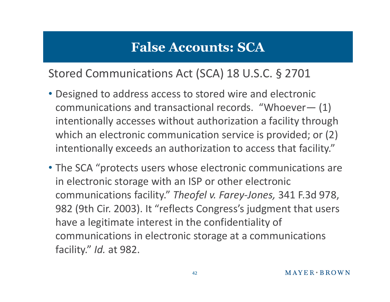#### Stored Communications Act (SCA) 18 U.S.C. § 2701

- Designed to address access to stored wire and electronic communications and transactional records. "Whoever— (1) intentionally accesses without authorization a facility through which an electronic communication service is provided; or  $(2)$ intentionally exceeds an authorization to access that facility."
- The SCA "protects users whose electronic communications are in electronic storage with an ISP or other electronic communications facility." *Theofel v. Farey-Jones,* 341 F.3d 978, 982 (9th Cir. 2003). It "reflects Congress's judgment that users have a legitimate interest in the confidentiality of communications in electronic storage at a communications facility." *Id.* at 982.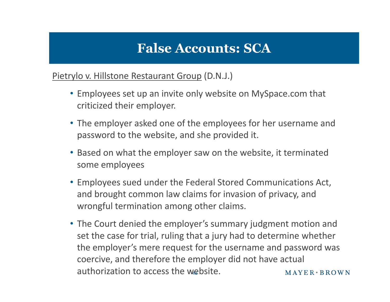#### Pietrylo v. Hillstone Restaurant Group (D.N.J.)

- Employees set up an invite only website on MySpace.com that criticized their employer.
- The employer asked one of the employees for her username and password to the website, and she provided it.
- Based on what the employer saw on the website, it terminated some employees
- Employees sued under the Federal Stored Communications Act, and brought common law claims for invasion of privacy, and wrongful termination among other claims.
- The Court denied the employer's summary judgment motion and set the case for trial, ruling that a jury had to determine whether the employer's mere request for the username and password was coercive, and therefore the employer did not have actual authorization to access the website.  $MAYER+BROWN$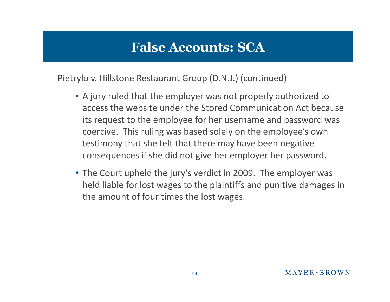#### Pietrylo v. Hillstone Restaurant Group (D.N.J.) (continued)

- A jury ruled that the employer was not properly authorized to access the website under the Stored Communication Act because its request to the employee for her username and password was coercive. This ruling was based solely on the employee's own testimony that she felt that there may have been negative consequences if she did not give her employer her password.
- The Court upheld the jury's verdict in 2009. The employer was held liable for lost wages to the plaintiffs and punitive damages in the amount of four times the lost wages.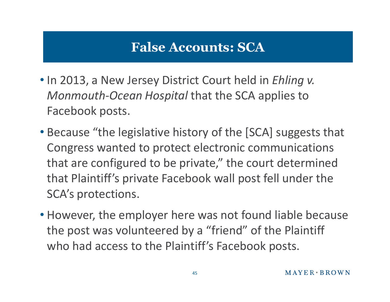- In 2013, a New Jersey District Court held in *Ehling v. Monmouth-Ocean Hospital* that the SCA applies to Facebook posts.
- Because "the legislative history of the [SCA] suggests that Congress wanted to protect electronic communications that are configured to be private," the court determined that Plaintiff's private Facebook wall post fell under the SCA's protections.
- However, the employer here was not found liable because the post was volunteered by a "friend" of the Plaintiff who had access to the Plaintiff's Facebook posts.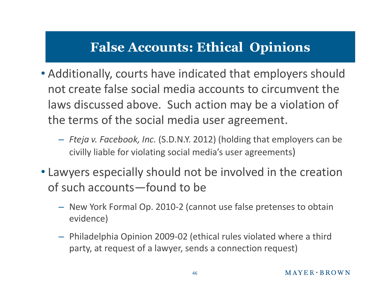# **False Accounts: Ethical Opinions**

- Additionally, courts have indicated that employers should not create false social media accounts to circumvent the laws discussed above. Such action may be a violation of the terms of the social media user agreement.
	- *Fteja v. Facebook, Inc.* (S.D.N.Y. 2012) (holding that employers can be civilly liable for violating social media's user agreements)
- Lawyers especially should not be involved in the creation of such accounts—found to be
	- New York Formal Op. 2010-2 (cannot use false pretenses to obtain evidence)
	- Philadelphia Opinion 2009-02 (ethical rules violated where a third party, at request of a lawyer, sends a connection request)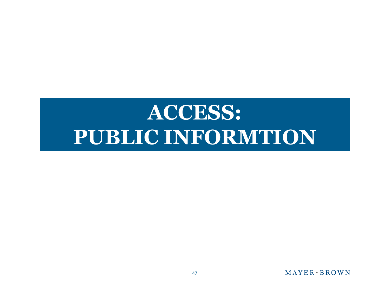# **ACCESS: PUBLIC INFORMTION**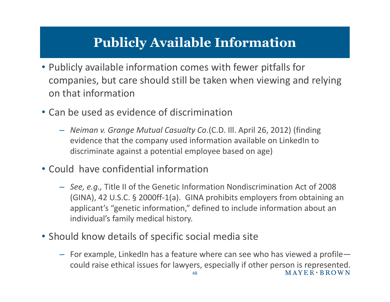# **Publicly Available Information**

- Publicly available information comes with fewer pitfalls for companies, but care should still be taken when viewing and relying on that information
- Can be used as evidence of discrimination
	- *Neiman v. Grange Mutual Casualty Co*.(C.D. Ill. April 26, 2012) (finding evidence that the company used information available on LinkedIn to discriminate against a potential employee based on age)
- Could have confidential information
	- *See, e.g.,* Title II of the Genetic Information Nondiscrimination Act of 2008 (GINA), 42 U.S.C. § 2000ff-1(a). GINA prohibits employers from obtaining an applicant's "genetic information," defined to include information about an individual's family medical history.
- Should know details of specific social media site
	- For example, LinkedIn has a feature where can see who has viewed a profile could raise ethical issues for lawyers, especially if other person is represented.<br>MAYER + BROWN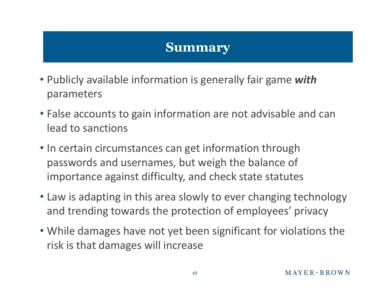### **Summary**

- Publicly available information is generally fair game *with* parameters
- False accounts to gain information are not advisable and can lead to sanctions
- In certain circumstances can get information through passwords and usernames, but weigh the balance of importance against difficulty, and check state statutes
- Law is adapting in this area slowly to ever changing technology and trending towards the protection of employees' privacy
- While damages have not yet been significant for violations the risk is that damages will increase